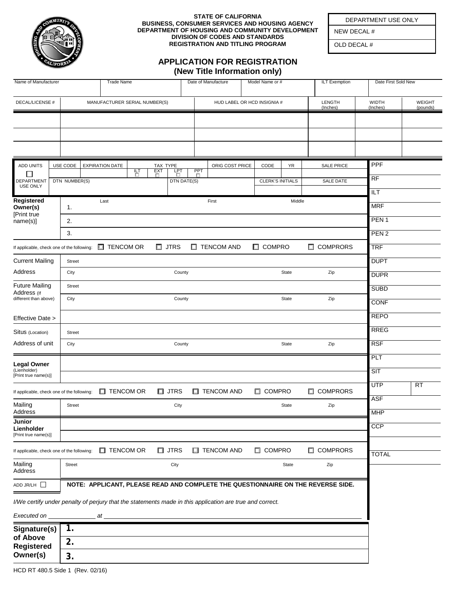

## **STATE OF CALIFORNIA BUSINESS, CONSUMER SERVICES AND HOUSING AGENCY DEPARTMENT OF HOUSING AND COMMUNITY DEVELOPMENT DIVISION OF CODES AND STANDARDS REGISTRATION AND TITLING PROGRAM**

**APPLICATION FOR REGISTRATION**

DEPARTMENT USE ONLY

NEW DECAL #

OLD DECAL #

|                                                                                                          |               |                               |                                                                                  |   |                        |                |  | (New Title Information only)           |                 |  |                         |           |                      |                   |                     |                |        |           |
|----------------------------------------------------------------------------------------------------------|---------------|-------------------------------|----------------------------------------------------------------------------------|---|------------------------|----------------|--|----------------------------------------|-----------------|--|-------------------------|-----------|----------------------|-------------------|---------------------|----------------|--------|-----------|
| Name of Manufacturer                                                                                     |               | <b>Trade Name</b>             |                                                                                  |   |                        |                |  | Date of Manufacture<br>Model Name or # |                 |  |                         |           | <b>ILT Exemption</b> |                   | Date First Sold New |                |        |           |
| <b>DECAL/LICENSE #</b>                                                                                   |               | MANUFACTURER SERIAL NUMBER(S) |                                                                                  |   |                        |                |  | HUD LABEL OR HCD INSIGNIA #            |                 |  |                         |           | LENGTH               |                   | <b>WIDTH</b>        |                | WEIGHT |           |
|                                                                                                          |               |                               |                                                                                  |   |                        |                |  |                                        |                 |  |                         |           |                      | (Inches)          |                     | (Inches)       |        | (pounds)  |
|                                                                                                          |               |                               |                                                                                  |   |                        |                |  |                                        |                 |  |                         |           |                      |                   |                     |                |        |           |
|                                                                                                          |               |                               |                                                                                  |   |                        |                |  |                                        |                 |  |                         |           |                      |                   |                     |                |        |           |
|                                                                                                          |               |                               |                                                                                  |   |                        |                |  |                                        |                 |  |                         |           |                      |                   |                     |                |        |           |
| <b>ADD UNITS</b>                                                                                         | USE CODE      |                               | <b>EXPIRATION DATE</b>                                                           | 퍔 | TAX TYPE<br><b>EXT</b> | LPT            |  | PPT                                    | ORIG COST PRICE |  | CODE                    | <b>YR</b> |                      | <b>SALE PRICE</b> |                     | PPF            |        |           |
| $\mathsf{I}$<br>DEPARTMENT                                                                               | DTN NUMBER(S) |                               |                                                                                  |   | п                      | DTN DATE(S)    |  | D                                      |                 |  | <b>CLERK'S INITIALS</b> |           |                      | SALE DATE         |                     | RF             |        |           |
| <b>USE ONLY</b><br>Registered<br>Owner(s)<br>[Print true<br>name(s)]                                     |               |                               |                                                                                  |   |                        |                |  |                                        |                 |  |                         |           |                      |                   |                     | $\overline{L}$ |        |           |
|                                                                                                          | 1.            |                               | Last                                                                             |   | First                  |                |  |                                        | Middle          |  |                         |           |                      | <b>MRF</b>        |                     |                |        |           |
|                                                                                                          | 2.            |                               |                                                                                  |   |                        |                |  |                                        |                 |  |                         |           | PEN <sub>1</sub>     |                   |                     |                |        |           |
|                                                                                                          | 3.            |                               |                                                                                  |   |                        |                |  |                                        |                 |  | PEN <sub>2</sub>        |           |                      |                   |                     |                |        |           |
| If applicable, check one of the following:                                                               |               |                               | $\Box$ TENCOM OR                                                                 |   |                        | $\square$ JTRS |  | $\Box$ TENCOM AND                      |                 |  | $\Box$ COMPRO           |           |                      | $\Box$ COMPRORS   |                     | <b>TRF</b>     |        |           |
| <b>Current Mailing</b>                                                                                   | Street        |                               |                                                                                  |   |                        |                |  |                                        |                 |  |                         |           |                      |                   |                     | <b>DUPT</b>    |        |           |
| Address                                                                                                  | City          |                               |                                                                                  |   |                        | County         |  |                                        |                 |  |                         | State     |                      | Zip               |                     | <b>DUPR</b>    |        |           |
| <b>Future Mailing</b><br>Address (If                                                                     | <b>Street</b> |                               |                                                                                  |   |                        |                |  |                                        |                 |  |                         |           |                      |                   |                     | <b>SUBD</b>    |        |           |
| different than above)                                                                                    | City          | County                        |                                                                                  |   |                        |                |  | State                                  |                 |  |                         |           | Zip                  | CONF              |                     |                |        |           |
| Effective Date >                                                                                         |               |                               |                                                                                  |   |                        |                |  |                                        |                 |  |                         |           |                      |                   |                     | <b>REPO</b>    |        |           |
| Situs (Location)                                                                                         | <b>Street</b> |                               |                                                                                  |   |                        |                |  |                                        |                 |  |                         |           |                      |                   |                     | <b>RREG</b>    |        |           |
| Address of unit                                                                                          | City          |                               |                                                                                  |   |                        | County         |  |                                        |                 |  |                         | State     |                      | Zip               |                     | <b>RSF</b>     |        |           |
|                                                                                                          |               |                               |                                                                                  |   |                        |                |  |                                        |                 |  |                         |           |                      |                   |                     | PLT            |        |           |
| <b>Legal Owner</b><br>(Lienholder)<br>[Print true name(s)]                                               |               |                               |                                                                                  |   |                        |                |  |                                        |                 |  |                         |           |                      |                   |                     | SIT            |        |           |
|                                                                                                          |               |                               |                                                                                  |   |                        |                |  |                                        |                 |  |                         |           |                      |                   |                     | <b>UTP</b>     |        | <b>RT</b> |
| If applicable, check one of the following:                                                               |               |                               | $\Box$ TENCOM OR                                                                 |   |                        | $\Box$ JTRS    |  | <b>TENCOM AND</b>                      |                 |  | <b>EL COMPRO</b>        |           |                      | <b>E</b> COMPRORS |                     | <b>ASF</b>     |        |           |
| Mailing<br>Address                                                                                       | Street        |                               |                                                                                  |   |                        | City           |  |                                        |                 |  |                         | State     |                      | Zip               |                     | <b>MHP</b>     |        |           |
| Junior<br>Lienholder                                                                                     |               |                               |                                                                                  |   |                        |                |  |                                        |                 |  |                         |           |                      |                   |                     | CCP            |        |           |
| [Print true name(s)]                                                                                     |               |                               |                                                                                  |   |                        |                |  |                                        |                 |  |                         |           |                      |                   |                     |                |        |           |
| If applicable, check one of the following:                                                               |               |                               | $\Box$ TENCOM OR                                                                 |   | □                      | <b>JTRS</b>    |  | <b>TENCOM AND</b><br>ш                 |                 |  | □ COMPRO                |           |                      | <b>OMPRORS</b>    |                     | <b>TOTAL</b>   |        |           |
| Mailing<br>Address                                                                                       | Street        |                               |                                                                                  |   | City                   |                |  |                                        | Zip<br>State    |  |                         |           |                      |                   |                     |                |        |           |
| ADD JR/LH                                                                                                |               |                               | NOTE: APPLICANT, PLEASE READ AND COMPLETE THE QUESTIONNAIRE ON THE REVERSE SIDE. |   |                        |                |  |                                        |                 |  |                         |           |                      |                   |                     |                |        |           |
| I/We certify under penalty of perjury that the statements made in this application are true and correct. |               |                               |                                                                                  |   |                        |                |  |                                        |                 |  |                         |           |                      |                   |                     |                |        |           |
| Executed on                                                                                              |               | _________ at _                |                                                                                  |   |                        |                |  |                                        |                 |  |                         |           |                      |                   |                     |                |        |           |
| Signature(s)                                                                                             | 1.            |                               |                                                                                  |   |                        |                |  |                                        |                 |  |                         |           |                      |                   |                     |                |        |           |
| of Above<br><b>Registered</b>                                                                            | 2.            |                               |                                                                                  |   |                        |                |  |                                        |                 |  |                         |           |                      |                   |                     |                |        |           |
| Owner(s)                                                                                                 | 3.            |                               |                                                                                  |   |                        |                |  |                                        |                 |  |                         |           |                      |                   |                     |                |        |           |